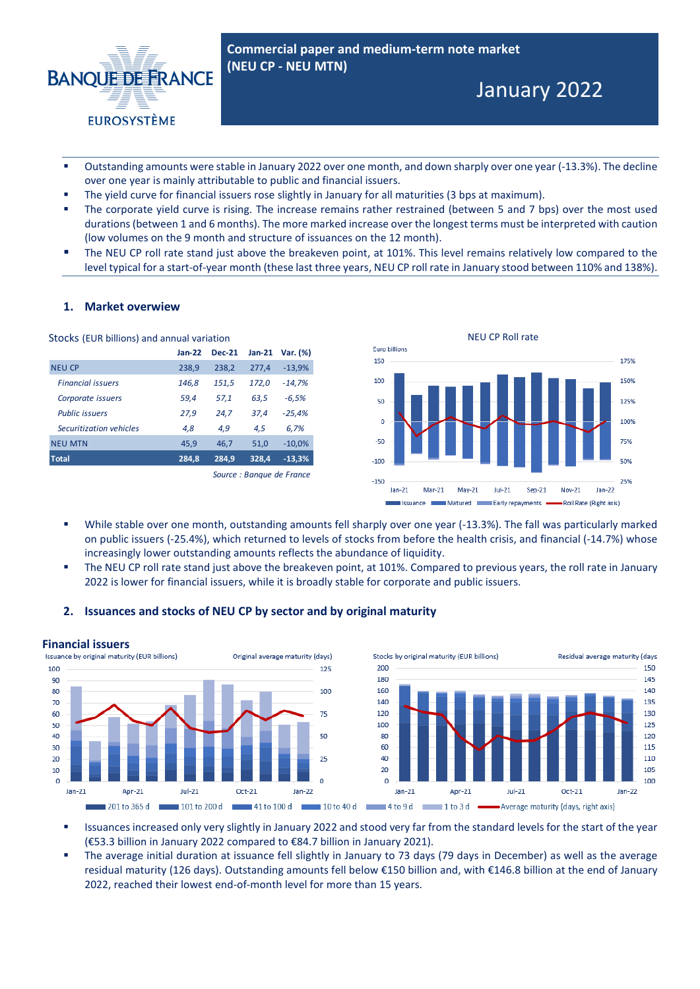

- Outstanding amounts were stable in January 2022 over one month, and down sharply over one year (-13.3%). The decline over one year is mainly attributable to public and financial issuers.
- The yield curve for financial issuers rose slightly in January for all maturities (3 bps at maximum).
- The corporate yield curve is rising. The increase remains rather restrained (between 5 and 7 bps) over the most used durations (between 1 and 6 months). The more marked increase over the longest terms must be interpreted with caution (low volumes on the 9 month and structure of issuances on the 12 month).
- The NEU CP roll rate stand just above the breakeven point, at 101%. This level remains relatively low compared to the level typical for a start-of-year month (these last three years, NEU CP roll rate in January stood between 110% and 138%).

# **1. Market overwiew**

| Stocks (EUR billions) and annual variation |                           |               |          |          |
|--------------------------------------------|---------------------------|---------------|----------|----------|
|                                            | $Jan-22$                  | <b>Dec-21</b> | $Jan-21$ | Var. (%) |
| <b>NEU CP</b>                              | 238,9                     | 238.2         | 277.4    | $-13,9%$ |
| <b>Financial issuers</b>                   | 146,8                     | 151,5         | 172,0    | $-14.7%$ |
| Corporate issuers                          | 59.4                      | 57.1          | 63,5     | $-6.5%$  |
| <b>Public issuers</b>                      | 27,9                      | 24,7          | 37.4     | $-25,4%$ |
| Securitization vehicles                    | 4,8                       | 4,9           | 4,5      | 6,7%     |
| <b>NEU MTN</b>                             | 45.9                      | 46.7          | 51.0     | $-10,0%$ |
| <b>Total</b>                               | 284,8                     | 284.9         | 328.4    | $-13,3%$ |
|                                            | Source : Banque de France |               |          |          |



- While stable over one month, outstanding amounts fell sharply over one year (-13.3%). The fall was particularly marked on public issuers (-25.4%), which returned to levels of stocks from before the health crisis, and financial (-14.7%) whose increasingly lower outstanding amounts reflects the abundance of liquidity.
- The NEU CP roll rate stand just above the breakeven point, at 101%. Compared to previous years, the roll rate in January 2022 is lower for financial issuers, while it is broadly stable for corporate and public issuers.

### **2. Issuances and stocks of NEU CP by sector and by original maturity**



- Issuances increased only very slightly in January 2022 and stood very far from the standard levels for the start of the year (€53.3 billion in January 2022 compared to €84.7 billion in January 2021).
- The average initial duration at issuance fell slightly in January to 73 days (79 days in December) as well as the average residual maturity (126 days). Outstanding amounts fell below €150 billion and, with €146.8 billion at the end of January 2022, reached their lowest end-of-month level for more than 15 years.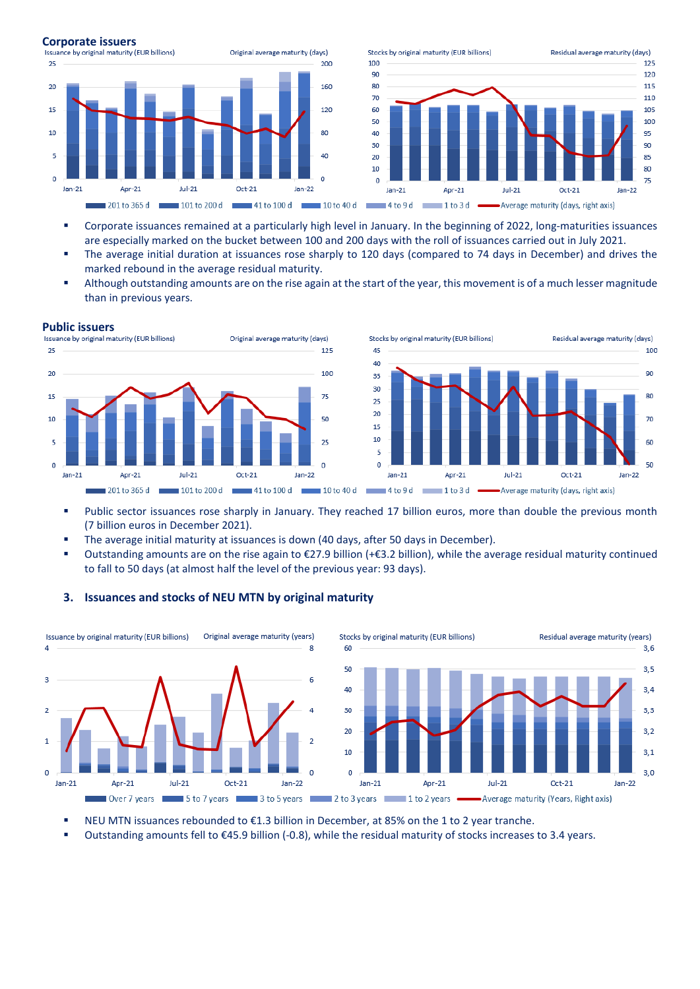

- Corporate issuances remained at a particularly high level in January. In the beginning of 2022, long-maturities issuances are especially marked on the bucket between 100 and 200 days with the roll of issuances carried out in July 2021.
- The average initial duration at issuances rose sharply to 120 days (compared to 74 days in December) and drives the marked rebound in the average residual maturity.
- Although outstanding amounts are on the rise again at the start of the year, this movement is of a much lesser magnitude than in previous years.

125

100

 $75$ 

50

 $25$ 

 $\overline{0}$ 



201 to 365 d





- Public sector issuances rose sharply in January. They reached 17 billion euros, more than double the previous month (7 billion euros in December 2021).
- **The average initial maturity at issuances is down (40 days, after 50 days in December).**
- Outstanding amounts are on the rise again to €27.9 billion (+€3.2 billion), while the average residual maturity continued to fall to 50 days (at almost half the level of the previous year: 93 days).



# **3. Issuances and stocks of NEU MTN by original maturity**

- NEU MTN issuances rebounded to €1.3 billion in December, at 85% on the 1 to 2 year tranche.
- Outstanding amounts fell to €45.9 billion (-0.8), while the residual maturity of stocks increases to 3.4 years.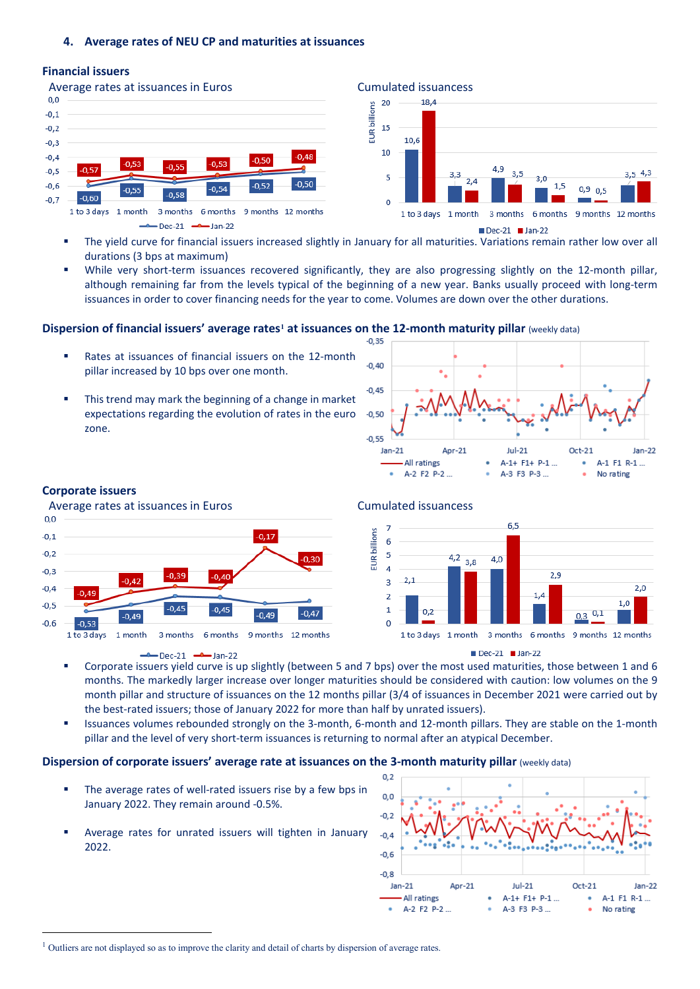# **Financial issuers**





Dec-21 Jan-22

- The yield curve for financial issuers increased slightly in January for all maturities. Variations remain rather low over all durations (3 bps at maximum)
- While very short-term issuances recovered significantly, they are also progressing slightly on the 12-month pillar, although remaining far from the levels typical of the beginning of a new year. Banks usually proceed with long-term issuances in order to cover financing needs for the year to come. Volumes are down over the other durations.

# **Dispersion of financial issuers' average rates<sup>[1](#page-2-0)</sup> at issuances on the 12-month maturity pillar (weekly data)**

- Rates at issuances of financial issuers on the 12-month pillar increased by 10 bps over one month.
- This trend may mark the beginning of a change in market expectations regarding the evolution of rates in the euro zone.



# **Corporate issuers**

Average rates at issuances in Euros **Cumulated issuancess** 



Dec-21 -- Jan-22



Dec-21 Jan-22

- Corporate issuers yield curve is up slightly (between 5 and 7 bps) over the most used maturities, those between 1 and 6 months. The markedly larger increase over longer maturities should be considered with caution: low volumes on the 9 month pillar and structure of issuances on the 12 months pillar (3/4 of issuances in December 2021 were carried out by the best-rated issuers; those of January 2022 for more than half by unrated issuers).
- Issuances volumes rebounded strongly on the 3-month, 6-month and 12-month pillars. They are stable on the 1-month pillar and the level of very short-term issuances is returning to normal after an atypical December.

### **Dispersion of corporate issuers' average rate at issuances on the 3-month maturity pillar** (weekly data)

- The average rates of well-rated issuers rise by a few bps in January 2022. They remain around -0.5%.
- Average rates for unrated issuers will tighten in January 2022.



<span id="page-2-0"></span><sup>&</sup>lt;sup>1</sup> Outliers are not displayed so as to improve the clarity and detail of charts by dispersion of average rates.